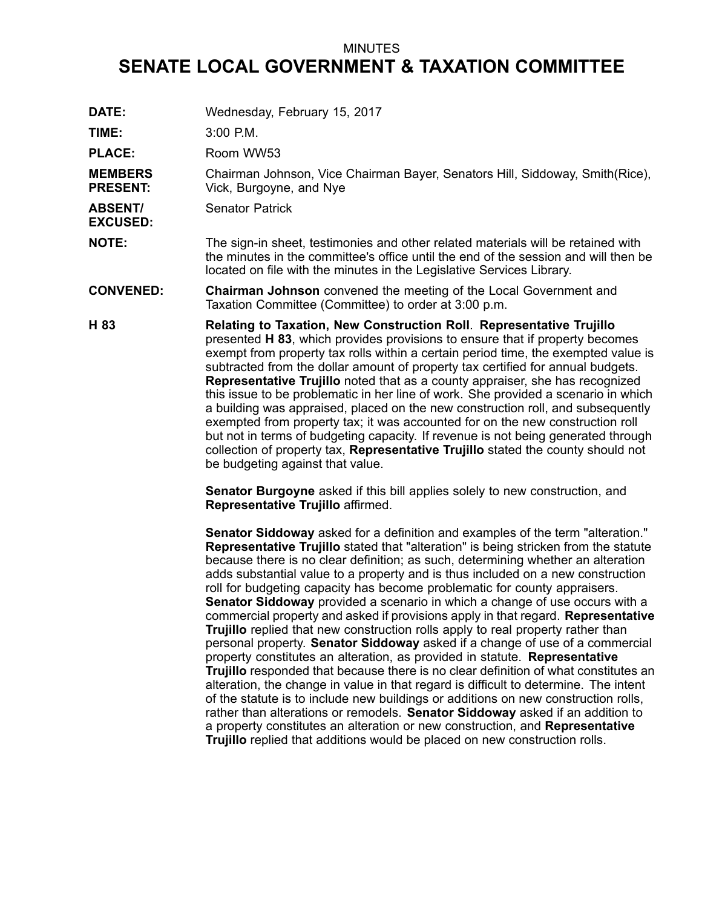## MINUTES

## **SENATE LOCAL GOVERNMENT & TAXATION COMMITTEE**

**DATE:** Wednesday, February 15, 2017 **TIME:** 3:00 P.M. PLACE: Room WW53 **MEMBERS PRESENT:** Chairman Johnson, Vice Chairman Bayer, Senators Hill, Siddoway, Smith(Rice), Vick, Burgoyne, and Nye **ABSENT/ EXCUSED:** Senator Patrick **NOTE:** The sign-in sheet, testimonies and other related materials will be retained with the minutes in the committee's office until the end of the session and will then be located on file with the minutes in the Legislative Services Library. **CONVENED: Chairman Johnson** convened the meeting of the Local Government and Taxation Committee (Committee) to order at 3:00 p.m. **H 83 Relating to Taxation, New Construction Roll**. **Representative Trujillo** presented **H 83**, which provides provisions to ensure that if property becomes exempt from property tax rolls within <sup>a</sup> certain period time, the exempted value is subtracted from the dollar amount of property tax certified for annual budgets. **Representative Trujillo** noted that as <sup>a</sup> county appraiser, she has recognized this issue to be problematic in her line of work. She provided <sup>a</sup> scenario in which <sup>a</sup> building was appraised, placed on the new construction roll, and subsequently exempted from property tax; it was accounted for on the new construction roll but not in terms of budgeting capacity. If revenue is not being generated through collection of property tax, **Representative Trujillo** stated the county should not be budgeting against that value. **Senator Burgoyne** asked if this bill applies solely to new construction, and **Representative Trujillo** affirmed. **Senator Siddoway** asked for <sup>a</sup> definition and examples of the term "alteration." **Representative Trujillo** stated that "alteration" is being stricken from the statute because there is no clear definition; as such, determining whether an alteration adds substantial value to <sup>a</sup> property and is thus included on <sup>a</sup> new construction roll for budgeting capacity has become problematic for county appraisers. **Senator Siddoway** provided <sup>a</sup> scenario in which <sup>a</sup> change of use occurs with <sup>a</sup> commercial property and asked if provisions apply in that regard. **Representative Trujillo** replied that new construction rolls apply to real property rather than personal property. **Senator Siddoway** asked if <sup>a</sup> change of use of <sup>a</sup> commercial property constitutes an alteration, as provided in statute. **Representative Trujillo** responded that because there is no clear definition of what constitutes an alteration, the change in value in that regard is difficult to determine. The intent of the statute is to include new buildings or additions on new construction rolls,

rather than alterations or remodels. **Senator Siddoway** asked if an addition to <sup>a</sup> property constitutes an alteration or new construction, and **Representative Trujillo** replied that additions would be placed on new construction rolls.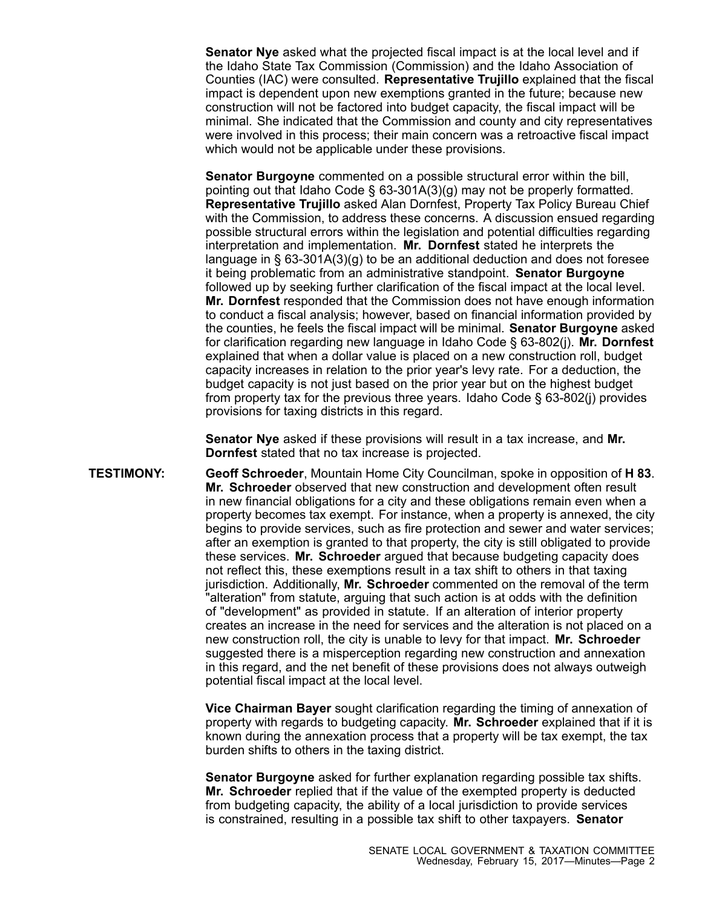**Senator Nye** asked what the projected fiscal impact is at the local level and if the Idaho State Tax Commission (Commission) and the Idaho Association of Counties (IAC) were consulted. **Representative Trujillo** explained that the fiscal impact is dependent upon new exemptions granted in the future; because new construction will not be factored into budget capacity, the fiscal impact will be minimal. She indicated that the Commission and county and city representatives were involved in this process; their main concern was <sup>a</sup> retroactive fiscal impact which would not be applicable under these provisions.

**Senator Burgoyne** commented on <sup>a</sup> possible structural error within the bill, pointing out that Idaho Code § 63-301A(3)(g) may not be properly formatted. **Representative Trujillo** asked Alan Dornfest, Property Tax Policy Bureau Chief with the Commission, to address these concerns. A discussion ensued regarding possible structural errors within the legislation and potential difficulties regarding interpretation and implementation. **Mr. Dornfest** stated he interprets the language in § 63-301A(3)(g) to be an additional deduction and does not foresee it being problematic from an administrative standpoint. **Senator Burgoyne** followed up by seeking further clarification of the fiscal impact at the local level. **Mr. Dornfest** responded that the Commission does not have enough information to conduct <sup>a</sup> fiscal analysis; however, based on financial information provided by the counties, he feels the fiscal impact will be minimal. **Senator Burgoyne** asked for clarification regarding new language in Idaho Code § 63-802(j). **Mr. Dornfest** explained that when <sup>a</sup> dollar value is placed on <sup>a</sup> new construction roll, budget capacity increases in relation to the prior year's levy rate. For <sup>a</sup> deduction, the budget capacity is not just based on the prior year but on the highest budget from property tax for the previous three years. Idaho Code § 63-802(j) provides provisions for taxing districts in this regard.

**Senator Nye** asked if these provisions will result in <sup>a</sup> tax increase, and **Mr. Dornfest** stated that no tax increase is projected.

**TESTIMONY: Geoff Schroeder**, Mountain Home City Councilman, spoke in opposition of **H 83**. **Mr. Schroeder** observed that new construction and development often result in new financial obligations for <sup>a</sup> city and these obligations remain even when <sup>a</sup> property becomes tax exempt. For instance, when <sup>a</sup> property is annexed, the city begins to provide services, such as fire protection and sewer and water services; after an exemption is granted to that property, the city is still obligated to provide these services. **Mr. Schroeder** argued that because budgeting capacity does not reflect this, these exemptions result in <sup>a</sup> tax shift to others in that taxing jurisdiction. Additionally, **Mr. Schroeder** commented on the removal of the term "alteration" from statute, arguing that such action is at odds with the definition of "development" as provided in statute. If an alteration of interior property creates an increase in the need for services and the alteration is not placed on <sup>a</sup> new construction roll, the city is unable to levy for that impact. **Mr. Schroeder** suggested there is <sup>a</sup> misperception regarding new construction and annexation in this regard, and the net benefit of these provisions does not always outweigh potential fiscal impact at the local level.

> **Vice Chairman Bayer** sought clarification regarding the timing of annexation of property with regards to budgeting capacity. **Mr. Schroeder** explained that if it is known during the annexation process that <sup>a</sup> property will be tax exempt, the tax burden shifts to others in the taxing district.

**Senator Burgoyne** asked for further explanation regarding possible tax shifts. **Mr. Schroeder** replied that if the value of the exempted property is deducted from budgeting capacity, the ability of <sup>a</sup> local jurisdiction to provide services is constrained, resulting in <sup>a</sup> possible tax shift to other taxpayers. **Senator**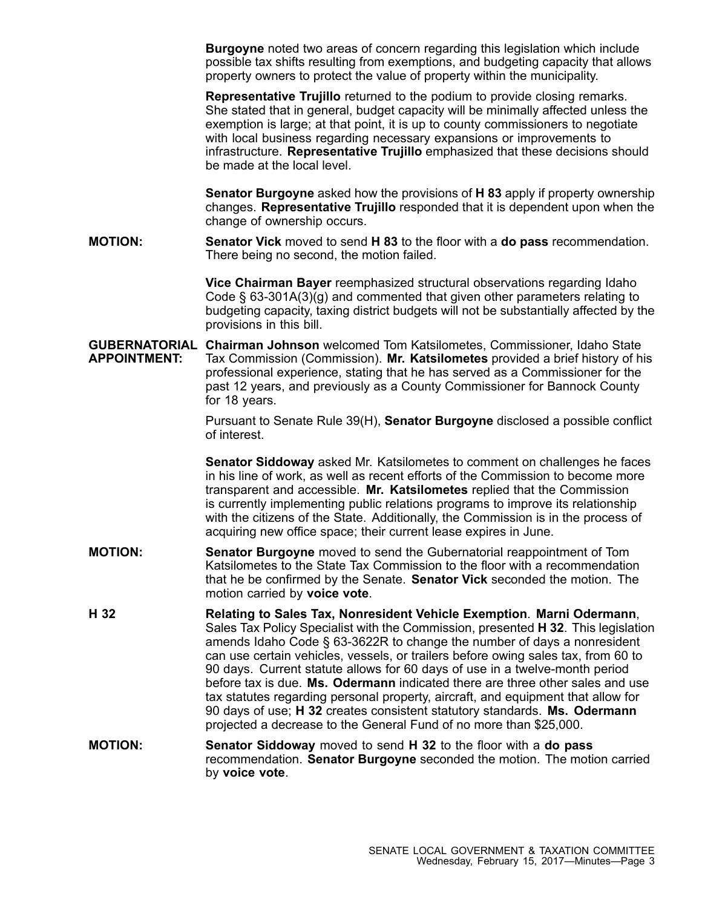**Burgoyne** noted two areas of concern regarding this legislation which include possible tax shifts resulting from exemptions, and budgeting capacity that allows property owners to protect the value of property within the municipality.

**Representative Trujillo** returned to the podium to provide closing remarks. She stated that in general, budget capacity will be minimally affected unless the exemption is large; at that point, it is up to county commissioners to negotiate with local business regarding necessary expansions or improvements to infrastructure. **Representative Trujillo** emphasized that these decisions should be made at the local level.

**Senator Burgoyne** asked how the provisions of **H 83** apply if property ownership changes. **Representative Trujillo** responded that it is dependent upon when the change of ownership occurs.

**MOTION: Senator Vick** moved to send **H 83** to the floor with <sup>a</sup> **do pass** recommendation. There being no second, the motion failed.

> **Vice Chairman Bayer** reemphasized structural observations regarding Idaho Code  $\S$  63-301A(3)(g) and commented that given other parameters relating to budgeting capacity, taxing district budgets will not be substantially affected by the provisions in this bill.

**GUBERNATORIAL Chairman Johnson** welcomed Tom Katsilometes, Commissioner, Idaho State **APPOINTMENT:** Tax Commission (Commission). **Mr. Katsilometes** provided <sup>a</sup> brief history of his professional experience, stating that he has served as <sup>a</sup> Commissioner for the past 12 years, and previously as <sup>a</sup> County Commissioner for Bannock County for 18 years.

> Pursuant to Senate Rule 39(H), **Senator Burgoyne** disclosed <sup>a</sup> possible conflict of interest.

> **Senator Siddoway** asked Mr. Katsilometes to comment on challenges he faces in his line of work, as well as recent efforts of the Commission to become more transparent and accessible. **Mr. Katsilometes** replied that the Commission is currently implementing public relations programs to improve its relationship with the citizens of the State. Additionally, the Commission is in the process of acquiring new office space; their current lease expires in June.

- **MOTION: Senator Burgoyne** moved to send the Gubernatorial reappointment of Tom Katsilometes to the State Tax Commission to the floor with a recommendation that he be confirmed by the Senate. **Senator Vick** seconded the motion. The motion carried by **voice vote**.
- **H 32 Relating to Sales Tax, Nonresident Vehicle Exemption**. **Marni Odermann**, Sales Tax Policy Specialist with the Commission, presented **H 32**. This legislation amends Idaho Code § 63-3622R to change the number of days <sup>a</sup> nonresident can use certain vehicles, vessels, or trailers before owing sales tax, from 60 to 90 days. Current statute allows for 60 days of use in <sup>a</sup> twelve-month period before tax is due. **Ms. Odermann** indicated there are three other sales and use tax statutes regarding personal property, aircraft, and equipment that allow for 90 days of use; **H 32** creates consistent statutory standards. **Ms. Odermann** projected <sup>a</sup> decrease to the General Fund of no more than \$25,000.
- **MOTION: Senator Siddoway** moved to send **H 32** to the floor with <sup>a</sup> **do pass** recommendation. **Senator Burgoyne** seconded the motion. The motion carried by **voice vote**.